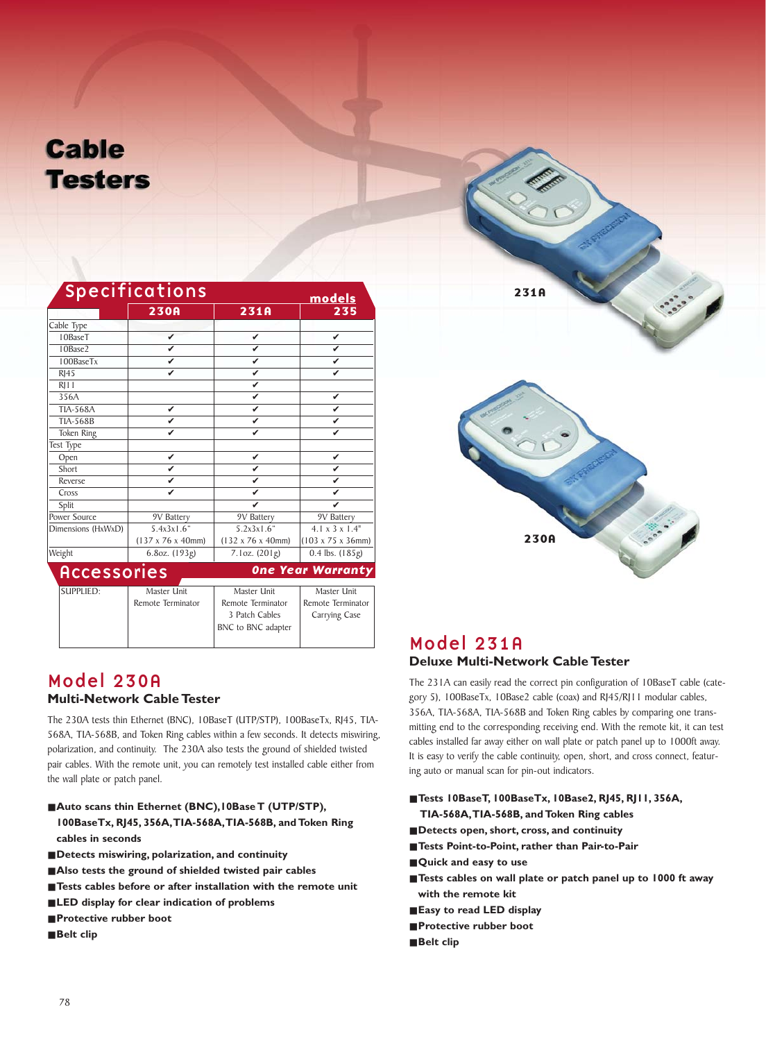# **Cable Testers**

| <b>Specifications</b> |                                |                                      | <u>models</u>                   |
|-----------------------|--------------------------------|--------------------------------------|---------------------------------|
|                       | 230A                           | 231A                                 | 235                             |
| Cable Type            |                                |                                      |                                 |
| 10BaseT               | ✓                              | ✓                                    | ✓                               |
| 10Base2               | ✓                              | V                                    | ✓                               |
| 100BaseTx             | ✓                              | V                                    | ✓                               |
| $R$ <sup>145</sup>    | ✓                              | V                                    | ✓                               |
| $R$ $I$ $I$           |                                | V                                    |                                 |
| 356A                  |                                | V                                    | V                               |
| TIA-568A              | V                              | V                                    | ✓                               |
| <b>TIA-568B</b>       | V                              | V                                    | ✓                               |
| <b>Token Ring</b>     | ✓                              | ✓                                    | ✓                               |
| Test Type             |                                |                                      |                                 |
| Open                  | ✓                              | V                                    | ✓                               |
| Short                 | ✓                              | ✓                                    | ✓                               |
| Reverse               | V                              | V                                    | ✓                               |
| Cross                 | ✓                              | V                                    | ✓                               |
| Split                 |                                | ✓                                    | ✓                               |
| Power Source          | 9V Battery                     | 9V Battery                           | 9V Battery                      |
| Dimensions (HxWxD)    | 5.4x3x1.6"                     | 5.2x3x1.6"                           | $4.1 \times 3 \times 1.4$ "     |
|                       | $(137 \times 76 \times 40$ mm) | $(132 \times 76 \times 40$ mm)       | $(103 \times 75 \times 36)$ mm) |
| Weight                | 6.80z. (193g)                  | 7.1 oz. (201g)                       | $0.4$ lbs. $(185g)$             |
| <b>Accessories</b>    |                                |                                      | <b>One Year Warranty</b>        |
| SUPPLIED:             | Master Unit                    | Master Unit                          | Master Unit                     |
|                       | Remote Terminator              | Remote Terminator                    | Remote Terminator               |
|                       |                                | 3 Patch Cables<br>BNC to BNC adapter | Carrying Case                   |

## Model 230A **Multi-Network Cable Tester**

The 230A tests thin Ethernet (BNC), 10BaseT (UTP/STP), 100BaseTx, RJ45, TIA-568A, TIA-568B, and Token Ring cables within a few seconds. It detects miswiring, polarization, and continuity. The 230A also tests the ground of shielded twisted pair cables. With the remote unit, you can remotely test installed cable either from the wall plate or patch panel.

- Auto scans thin Ethernet (BNC), 10Base T (UTP/STP), **100BaseTx, RJ45, 356A,TIA-568A,TIA-568B, and Token Ring cables in seconds**
- Detects miswiring, polarization, and continuity
- **Also tests the ground of shielded twisted pair cables**
- **Tests cables before or after installation with the remote unit**
- **LED** display for clear indication of problems
- **Protective rubber boot**
- **Belt clip**



230A

231A

### Model 231A **Deluxe Multi-Network Cable Tester**

The 231A can easily read the correct pin configuration of 10BaseT cable (category 5), 100BaseTx, 10Base2 cable (coax) and RJ45/RJ11 modular cables, 356A, TIA-568A, TIA-568B and Token Ring cables by comparing one transmitting end to the corresponding receiving end. With the remote kit, it can test cables installed far away either on wall plate or patch panel up to 1000ft away. It is easy to verify the cable continuity, open, short, and cross connect, featuring auto or manual scan for pin-out indicators.

- **Tests 10BaseT, 100BaseTx, 10Base2, RJ45, RJ11, 356A, TIA-568A,TIA-568B, and Token Ring cables**
- **Detects open, short, cross, and continuity**
- **Tests Point-to-Point, rather than Pair-to-Pair**
- **Quick and easy to use**
- **Tests cables on wall plate or patch panel up to 1000 ft away with the remote kit**
- **Easy to read LED display**
- **Protective rubber boot**
- **Belt clip**